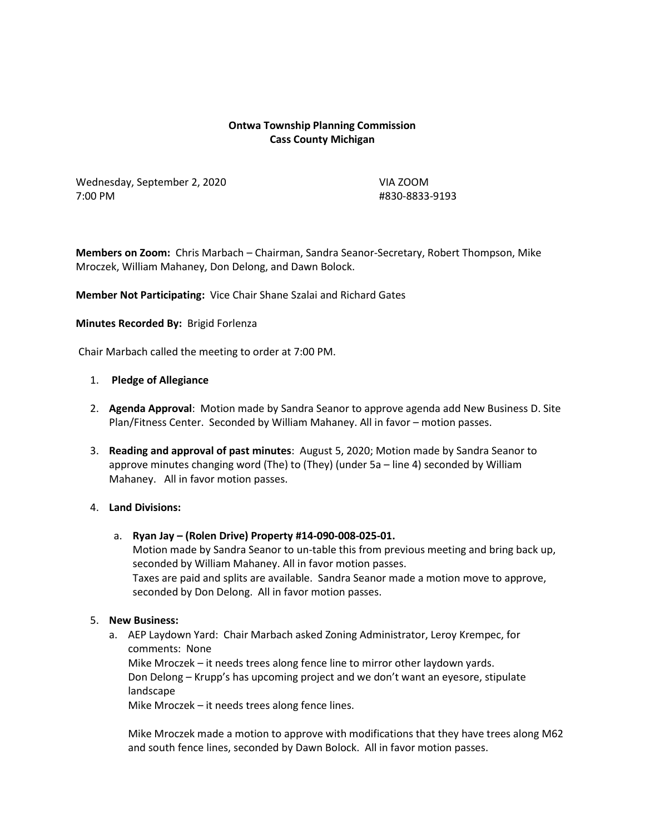## **Ontwa Township Planning Commission Cass County Michigan**

Wednesday, September 2, 2020 VIA ZOOM 7:00 PM #830-8833-9193

**Members on Zoom:** Chris Marbach – Chairman, Sandra Seanor-Secretary, Robert Thompson, Mike Mroczek, William Mahaney, Don Delong, and Dawn Bolock.

**Member Not Participating:** Vice Chair Shane Szalai and Richard Gates

#### **Minutes Recorded By:** Brigid Forlenza

Chair Marbach called the meeting to order at 7:00 PM.

#### 1. **Pledge of Allegiance**

- 2. **Agenda Approval**: Motion made by Sandra Seanor to approve agenda add New Business D. Site Plan/Fitness Center. Seconded by William Mahaney. All in favor – motion passes.
- 3. **Reading and approval of past minutes**: August 5, 2020; Motion made by Sandra Seanor to approve minutes changing word (The) to (They) (under 5a – line 4) seconded by William Mahaney. All in favor motion passes.

## 4. **Land Divisions:**

a. **Ryan Jay – (Rolen Drive) Property #14-090-008-025-01.** Motion made by Sandra Seanor to un-table this from previous meeting and bring back up, seconded by William Mahaney. All in favor motion passes. Taxes are paid and splits are available. Sandra Seanor made a motion move to approve, seconded by Don Delong. All in favor motion passes.

## 5. **New Business:**

a. AEP Laydown Yard: Chair Marbach asked Zoning Administrator, Leroy Krempec, for comments: None

Mike Mroczek – it needs trees along fence line to mirror other laydown yards. Don Delong – Krupp's has upcoming project and we don't want an eyesore, stipulate landscape

Mike Mroczek – it needs trees along fence lines.

Mike Mroczek made a motion to approve with modifications that they have trees along M62 and south fence lines, seconded by Dawn Bolock. All in favor motion passes.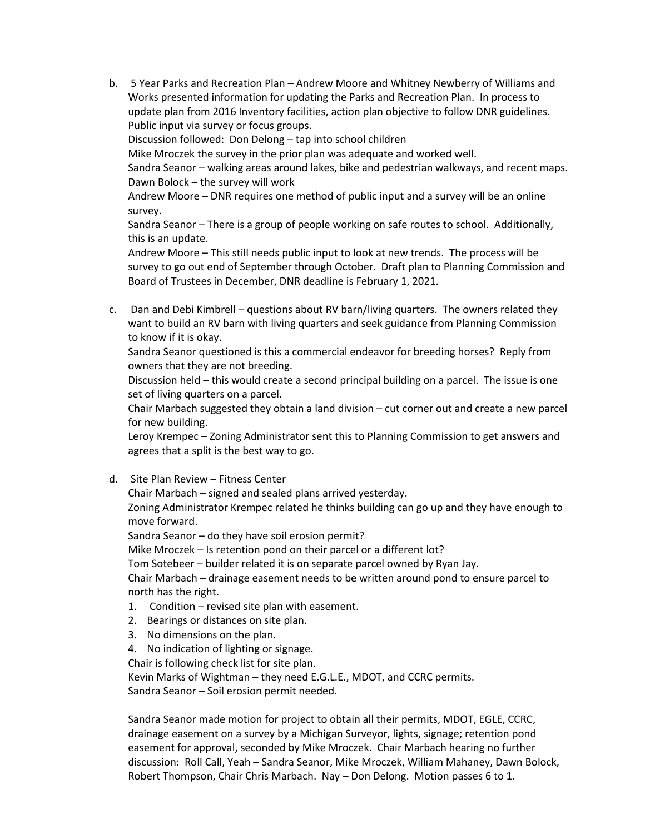b. 5 Year Parks and Recreation Plan – Andrew Moore and Whitney Newberry of Williams and Works presented information for updating the Parks and Recreation Plan. In process to update plan from 2016 Inventory facilities, action plan objective to follow DNR guidelines. Public input via survey or focus groups. Discussion followed: Don Delong – tap into school children

Mike Mroczek the survey in the prior plan was adequate and worked well. Sandra Seanor – walking areas around lakes, bike and pedestrian walkways, and recent maps.

Dawn Bolock – the survey will work

Andrew Moore – DNR requires one method of public input and a survey will be an online survey.

Sandra Seanor – There is a group of people working on safe routes to school. Additionally, this is an update.

Andrew Moore – This still needs public input to look at new trends. The process will be survey to go out end of September through October. Draft plan to Planning Commission and Board of Trustees in December, DNR deadline is February 1, 2021.

c. Dan and Debi Kimbrell – questions about RV barn/living quarters. The owners related they want to build an RV barn with living quarters and seek guidance from Planning Commission to know if it is okay.

Sandra Seanor questioned is this a commercial endeavor for breeding horses? Reply from owners that they are not breeding.

Discussion held – this would create a second principal building on a parcel. The issue is one set of living quarters on a parcel.

Chair Marbach suggested they obtain a land division – cut corner out and create a new parcel for new building.

Leroy Krempec – Zoning Administrator sent this to Planning Commission to get answers and agrees that a split is the best way to go.

d. Site Plan Review – Fitness Center

Chair Marbach – signed and sealed plans arrived yesterday.

Zoning Administrator Krempec related he thinks building can go up and they have enough to move forward.

Sandra Seanor – do they have soil erosion permit?

Mike Mroczek – Is retention pond on their parcel or a different lot?

Tom Sotebeer – builder related it is on separate parcel owned by Ryan Jay.

Chair Marbach – drainage easement needs to be written around pond to ensure parcel to north has the right.

- 1. Condition revised site plan with easement.
- 2. Bearings or distances on site plan.
- 3. No dimensions on the plan.
- 4. No indication of lighting or signage.

Chair is following check list for site plan.

Kevin Marks of Wightman – they need E.G.L.E., MDOT, and CCRC permits. Sandra Seanor – Soil erosion permit needed.

Sandra Seanor made motion for project to obtain all their permits, MDOT, EGLE, CCRC, drainage easement on a survey by a Michigan Surveyor, lights, signage; retention pond easement for approval, seconded by Mike Mroczek. Chair Marbach hearing no further discussion: Roll Call, Yeah – Sandra Seanor, Mike Mroczek, William Mahaney, Dawn Bolock, Robert Thompson, Chair Chris Marbach. Nay – Don Delong. Motion passes 6 to 1.